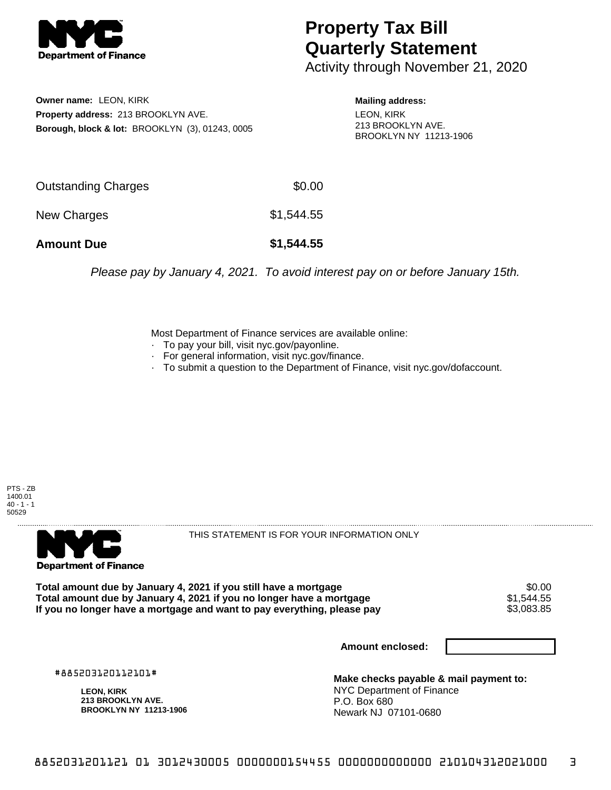

## **Property Tax Bill Quarterly Statement**

Activity through November 21, 2020

**Owner name:** LEON, KIRK **Property address:** 213 BROOKLYN AVE. **Borough, block & lot:** BROOKLYN (3), 01243, 0005 **Mailing address:** LEON, KIRK 213 BROOKLYN AVE. BROOKLYN NY 11213-1906

| <b>Amount Due</b>   | \$1,544.55 |
|---------------------|------------|
| New Charges         | \$1,544.55 |
| Outstanding Charges | \$0.00     |

Please pay by January 4, 2021. To avoid interest pay on or before January 15th.

Most Department of Finance services are available online:

- · To pay your bill, visit nyc.gov/payonline.
- For general information, visit nyc.gov/finance.
- · To submit a question to the Department of Finance, visit nyc.gov/dofaccount.





THIS STATEMENT IS FOR YOUR INFORMATION ONLY

Total amount due by January 4, 2021 if you still have a mortgage \$0.00<br>Total amount due by January 4, 2021 if you no longer have a mortgage \$1.544.55 **Total amount due by January 4, 2021 if you no longer have a mortgage**  $$1,544.55$ **<br>If you no longer have a mortgage and want to pay everything, please pay <b>show that have a** \$3,083.85 If you no longer have a mortgage and want to pay everything, please pay

**Amount enclosed:**

#885203120112101#

**LEON, KIRK 213 BROOKLYN AVE. BROOKLYN NY 11213-1906**

**Make checks payable & mail payment to:** NYC Department of Finance P.O. Box 680 Newark NJ 07101-0680